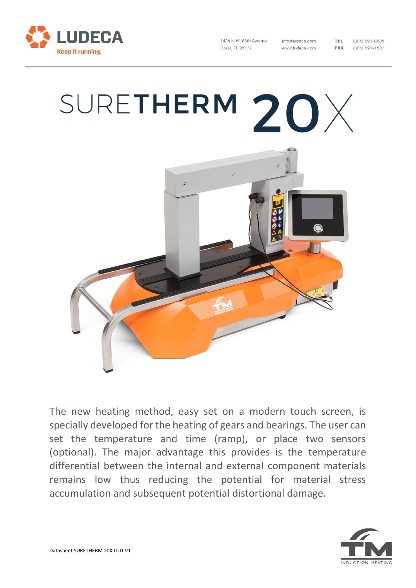

1425 N W 88th Avenue Doral, FL 33172

info@ludeca.com www.ludeca.com

 $(305) 591 - 8935$  $(305) 591 - 1537$ 

TEL.

FAX

## SURETHERM  $20\times$



The new heating method, easy set on a modern touch screen, is specially developed for the heating of gears and bearings. The user can set the temperature and time (ramp), or place two sensors (optional). The major advantage this provides is the temperature differential between the internal and external component materials remains low thus reducing the potential for material stress accumulation and subsequent potential distortional damage.

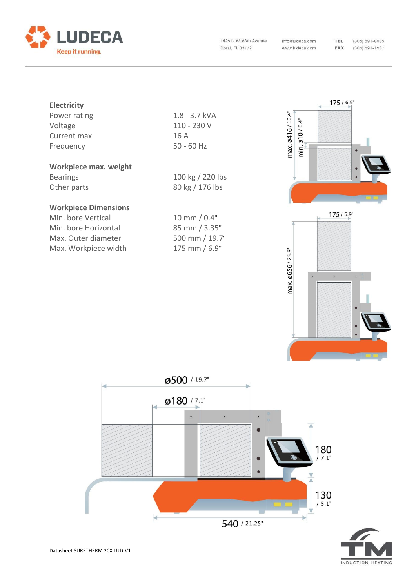

1425 N.W. 88th Avenue Doral, FL 33172

info@ludeca.com www.ludeca.com

 $(305) 591 - 8935$  $(305) 591 - 1537$ 

| <b>Electricity</b> |                 |
|--------------------|-----------------|
| Power rating       | $1.8 - 3.7$ kVA |
| Voltage            | 110 - 230 V     |
| Current max.       | 16 A            |
| Frequency          | $50 - 60$ Hz    |
|                    |                 |

## **Workpiece max. weight**

Bearings 100 kg / 220 lbs Other parts 80 kg / 176 lbs

## **Workpiece Dimensions**

Min. bore Vertical Min. bore Horizontal Max. Outer diameter Max. Workpiece width

| $10 \text{ mm} / 0.4"$ |
|------------------------|
| $85$ mm $/ 3.35"$      |
| 500 mm / 19.7"         |
| 175 mm / 6.9"          |



**TEL** 

FAX



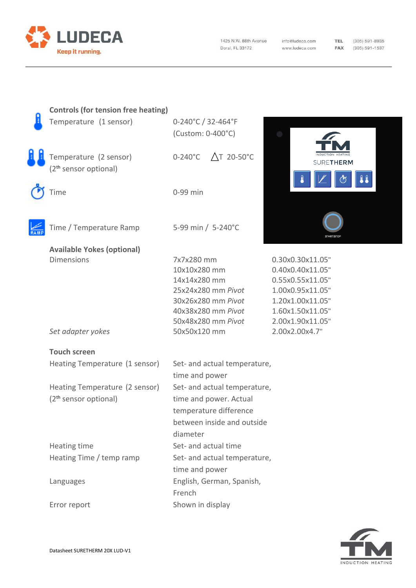

1425 N.W. 88th Avenue Doral, FL 33172

info@ludeca.com www.ludeca.com

TEL (305) 591-8935 **FAX** (305) 591-1537

| <b>Controls (for tension free heating)</b> |                              |                                          |                                      |
|--------------------------------------------|------------------------------|------------------------------------------|--------------------------------------|
| Temperature (1 sensor)                     | 0-240°C / 32-464°F           |                                          |                                      |
|                                            | (Custom: 0-400°C)            |                                          |                                      |
|                                            |                              |                                          |                                      |
| Temperature (2 sensor)                     | $0-240^{\circ}$ C            | $\triangle$ T 20-50°C                    | <b>SURETHERM</b>                     |
| (2 <sup>th</sup> sensor optional)          |                              |                                          |                                      |
|                                            |                              |                                          |                                      |
| Time                                       | 0-99 min                     |                                          |                                      |
|                                            |                              |                                          |                                      |
|                                            |                              |                                          |                                      |
| Time / Temperature Ramp                    | 5-99 min / 5-240°C           |                                          |                                      |
|                                            |                              |                                          |                                      |
| <b>Available Yokes (optional)</b>          |                              |                                          |                                      |
| <b>Dimensions</b>                          | 7x7x280 mm                   |                                          | 0.30x0.30x11.05"                     |
|                                            | 10x10x280 mm                 |                                          | 0.40x0.40x11.05"                     |
|                                            | 14x14x280 mm                 |                                          | 0.55x0.55x11.05"                     |
|                                            |                              | 25x24x280 mm Pivot                       | 1.00x0.95x11.05"                     |
|                                            |                              | 30x26x280 mm Pivot<br>40x38x280 mm Pivot | 1.20x1.00x11.05"<br>1.60x1.50x11.05" |
|                                            |                              | 50x48x280 mm Pivot                       | 2.00x1.90x11.05"                     |
| Set adapter yokes                          | 50x50x120 mm                 |                                          | 2.00x2.00x4.7"                       |
|                                            |                              |                                          |                                      |
| <b>Touch screen</b>                        |                              |                                          |                                      |
| Heating Temperature (1 sensor)             | Set- and actual temperature, |                                          |                                      |
|                                            | time and power               |                                          |                                      |
| Heating Temperature (2 sensor)             |                              | Set- and actual temperature,             |                                      |
| (2 <sup>th</sup> sensor optional)          |                              | time and power. Actual                   |                                      |
|                                            |                              | temperature difference                   |                                      |
|                                            |                              | between inside and outside               |                                      |
|                                            | diameter                     |                                          |                                      |
| Heating time                               | Set- and actual time         |                                          |                                      |
| Heating Time / temp ramp                   |                              | Set- and actual temperature,             |                                      |
|                                            | time and power               |                                          |                                      |
| Languages                                  |                              | English, German, Spanish,                |                                      |
|                                            | French                       |                                          |                                      |
| Error report                               | Shown in display             |                                          |                                      |
|                                            |                              |                                          |                                      |